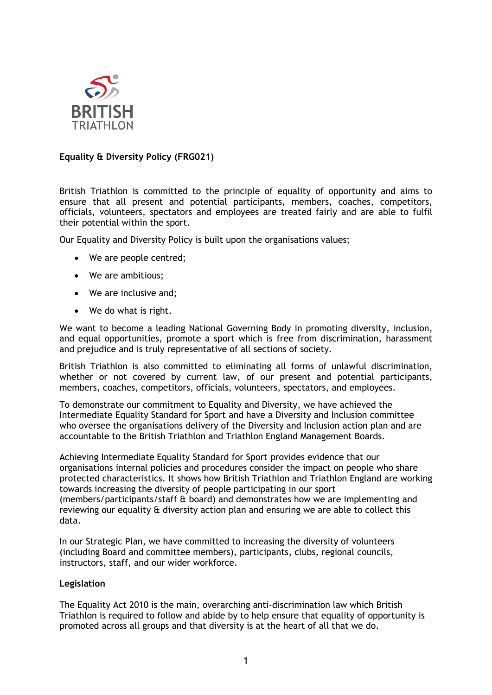

## **Equality & Diversity Policy (FRG021)**

British Triathlon is committed to the principle of equality of opportunity and aims to ensure that all present and potential participants, members, coaches, competitors, officials, volunteers, spectators and employees are treated fairly and are able to fulfil their potential within the sport.

Our Equality and Diversity Policy is built upon the organisations values;

- We are people centred;
- We are ambitious;
- We are inclusive and;
- We do what is right.

We want to become a leading National Governing Body in promoting diversity, inclusion, and equal opportunities, promote a sport which is free from discrimination, harassment and prejudice and is truly representative of all sections of society.

British Triathlon is also committed to eliminating all forms of unlawful discrimination, whether or not covered by current law, of our present and potential participants, members, coaches, competitors, officials, volunteers, spectators, and employees.

To demonstrate our commitment to Equality and Diversity, we have achieved the Intermediate Equality Standard for Sport and have a Diversity and Inclusion committee who oversee the organisations delivery of the Diversity and Inclusion action plan and are accountable to the British Triathlon and Triathlon England Management Boards.

Achieving Intermediate Equality Standard for Sport provides evidence that our organisations internal policies and procedures consider the impact on people who share protected characteristics. It shows how British Triathlon and Triathlon England are working towards increasing the diversity of people participating in our sport (members/participants/staff & board) and demonstrates how we are implementing and reviewing our equality & diversity action plan and ensuring we are able to collect this data.

In our Strategic Plan, we have committed to increasing the diversity of volunteers (including Board and committee members), participants, clubs, regional councils, instructors, staff, and our wider workforce.

## **Legislation**

The Equality Act 2010 is the main, overarching anti-discrimination law which British Triathlon is required to follow and abide by to help ensure that equality of opportunity is promoted across all groups and that diversity is at the heart of all that we do.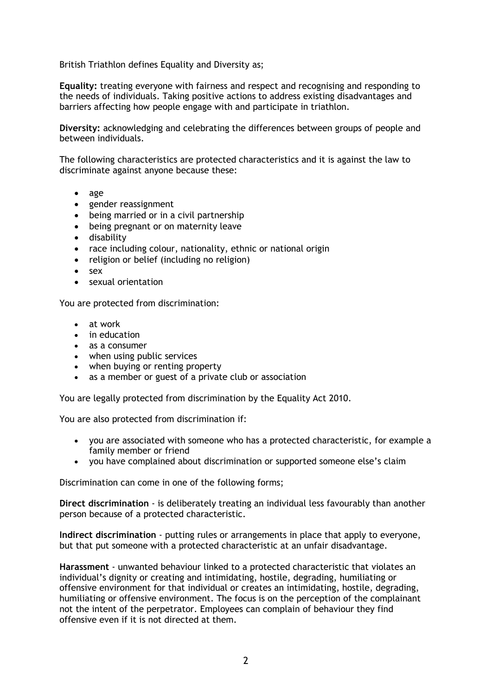British Triathlon defines Equality and Diversity as;

**Equality:** treating everyone with fairness and respect and recognising and responding to the needs of individuals. Taking positive actions to address existing disadvantages and barriers affecting how people engage with and participate in triathlon.

**Diversity:** acknowledging and celebrating the differences between groups of people and between individuals.

The following characteristics are protected characteristics and it is against the law to discriminate against anyone because these:

- age
- gender reassignment
- being married or in a civil partnership
- being pregnant or on maternity leave
- disability
- race including colour, nationality, ethnic or national origin
- religion or belief (including no religion)
- sex
- sexual orientation

You are protected from discrimination:

- at work
- in education
- as a consumer
- when using public services
- when buying or renting property
- as a member or guest of a private club or association

You are legally protected from discrimination by the Equality Act 2010.

You are also protected from discrimination if:

- you are associated with someone who has a protected characteristic, for example a family member or friend
- you have complained about discrimination or supported someone else's claim

Discrimination can come in one of the following forms;

**Direct discrimination** - is deliberately treating an individual less favourably than another person because of a protected characteristic.

**Indirect discrimination** - putting rules or arrangements in place that apply to everyone, but that put someone with a protected characteristic at an unfair disadvantage.

**Harassment** - unwanted behaviour linked to a protected characteristic that violates an individual's dignity or creating and intimidating, hostile, degrading, humiliating or offensive environment for that individual or creates an intimidating, hostile, degrading, humiliating or offensive environment. The focus is on the perception of the complainant not the intent of the perpetrator. Employees can complain of behaviour they find offensive even if it is not directed at them.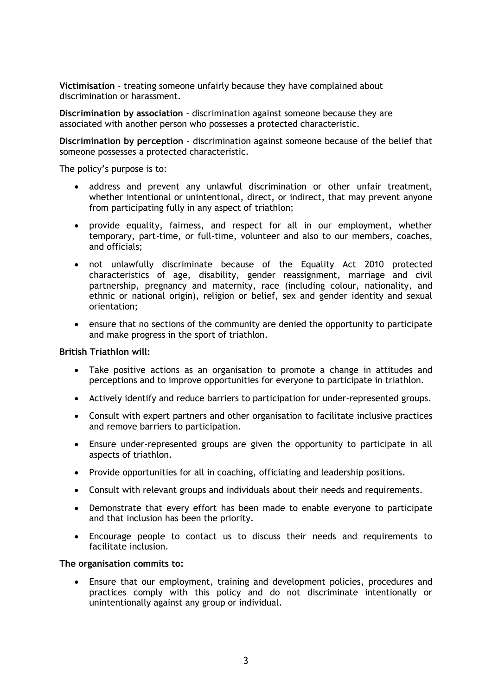**Victimisation** - treating someone unfairly because they have complained about discrimination or harassment.

**Discrimination by association** - discrimination against someone because they are associated with another person who possesses a protected characteristic.

**Discrimination by perception** – discrimination against someone because of the belief that someone possesses a protected characteristic.

The policy's purpose is to:

- address and prevent any unlawful discrimination or other unfair treatment, whether intentional or unintentional, direct, or indirect, that may prevent anyone from participating fully in any aspect of triathlon;
- provide equality, fairness, and respect for all in our employment, whether temporary, part-time, or full-time, volunteer and also to our members, coaches, and officials;
- not unlawfully discriminate because of the Equality Act 2010 protected characteristics of age, disability, gender reassignment, marriage and civil partnership, pregnancy and maternity, race (including colour, nationality, and ethnic or national origin), religion or belief, sex and gender identity and sexual orientation;
- ensure that no sections of the community are denied the opportunity to participate and make progress in the sport of triathlon.

#### **British Triathlon will:**

- Take positive actions as an organisation to promote a change in attitudes and perceptions and to improve opportunities for everyone to participate in triathlon.
- Actively identify and reduce barriers to participation for under-represented groups.
- Consult with expert partners and other organisation to facilitate inclusive practices and remove barriers to participation.
- Ensure under-represented groups are given the opportunity to participate in all aspects of triathlon.
- Provide opportunities for all in coaching, officiating and leadership positions.
- Consult with relevant groups and individuals about their needs and requirements.
- Demonstrate that every effort has been made to enable everyone to participate and that inclusion has been the priority.
- Encourage people to contact us to discuss their needs and requirements to facilitate inclusion.

#### **The organisation commits to:**

• Ensure that our employment, training and development policies, procedures and practices comply with this policy and do not discriminate intentionally or unintentionally against any group or individual.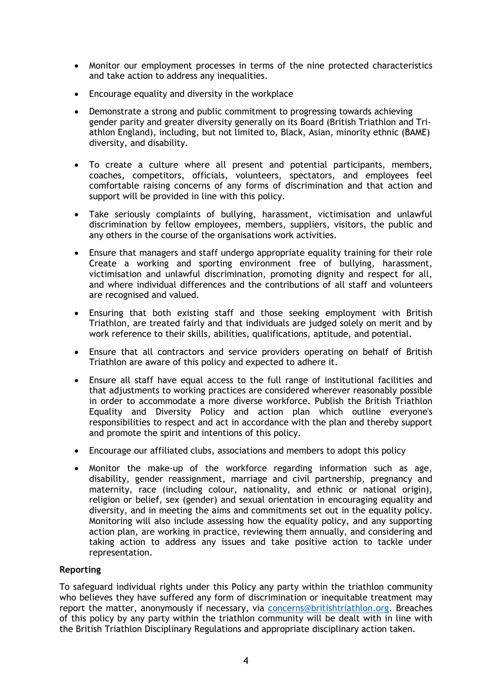- Monitor our employment processes in terms of the nine protected characteristics and take action to address any inequalities.
- Encourage equality and diversity in the workplace
- Demonstrate a strong and public commitment to progressing towards achieving gender parity and greater diversity generally on its Board (British Triathlon and Triathlon England), including, but not limited to, Black, Asian, minority ethnic (BAME) diversity, and disability.
- To create a culture where all present and potential participants, members, coaches, competitors, officials, volunteers, spectators, and employees feel comfortable raising concerns of any forms of discrimination and that action and support will be provided in line with this policy.
- Take seriously complaints of bullying, harassment, victimisation and unlawful discrimination by fellow employees, members, suppliers, visitors, the public and any others in the course of the organisations work activities.
- Ensure that managers and staff undergo appropriate equality training for their role Create a working and sporting environment free of bullying, harassment, victimisation and unlawful discrimination, promoting dignity and respect for all, and where individual differences and the contributions of all staff and volunteers are recognised and valued.
- Ensuring that both existing staff and those seeking employment with British Triathlon, are treated fairly and that individuals are judged solely on merit and by work reference to their skills, abilities, qualifications, aptitude, and potential.
- Ensure that all contractors and service providers operating on behalf of British Triathlon are aware of this policy and expected to adhere it.
- Ensure all staff have equal access to the full range of institutional facilities and that adjustments to working practices are considered wherever reasonably possible in order to accommodate a more diverse workforce. Publish the British Triathlon Equality and Diversity Policy and action plan which outline everyone's responsibilities to respect and act in accordance with the plan and thereby support and promote the spirit and intentions of this policy.
- Encourage our affiliated clubs, associations and members to adopt this policy
- Monitor the make-up of the workforce regarding information such as age, disability, gender reassignment, marriage and civil partnership, pregnancy and maternity, race (including colour, nationality, and ethnic or national origin), religion or belief, sex (gender) and sexual orientation in encouraging equality and diversity, and in meeting the aims and commitments set out in the equality policy. Monitoring will also include assessing how the equality policy, and any supporting action plan, are working in practice, reviewing them annually, and considering and taking action to address any issues and take positive action to tackle under representation.

# **Reporting**

To safeguard individual rights under this Policy any party within the triathlon community who believes they have suffered any form of discrimination or inequitable treatment may report the matter, anonymously if necessary, via [concerns@britishtriathlon.org.](mailto:info@britishtriathlon.org) Breaches of this policy by any party within the triathlon community will be dealt with in line with the British Triathlon Disciplinary Regulations and appropriate disciplinary action taken.